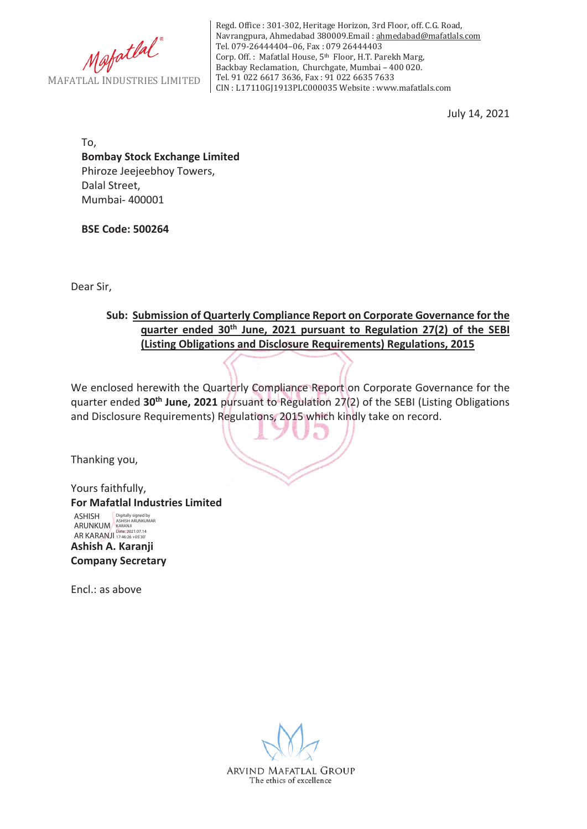

Regd. Office : 301-302, Heritage Horizon, 3rd Floor, off. C.G. Road, Navrangpura, Ahmedabad 380009.Email : ahmedabad@mafatlals.com Tel. 079-26444404–06, Fax : 079 26444403 Corp. Off. : Mafatlal House, 5th Floor, H.T. Parekh Marg, Backbay Reclamation, Churchgate, Mumbai – 400 020. Tel. 91 022 6617 3636, Fax : 91 022 6635 7633 CIN : L17110GJ1913PLC000035 Website : www.mafatlals.com

July 14, 2021

To, **Bombay Stock Exchange Limited** Phiroze Jeejeebhoy Towers, Dalal Street, Mumbai- 400001

**BSE Code: 500264**

Dear Sir,

## **Sub:Submission of Quarterly Compliance Report on Corporate Governance for the quarter ended 30th June, 2021 pursuant to Regulation 27(2) of the SEBI (Listing Obligations and Disclosure Requirements) Regulations, 2015**

We enclosed herewith the Quarterly Compliance Report on Corporate Governance for the quarter ended **30th June, 2021** pursuant to Regulation 27(2) of the SEBI (Listing Obligations and Disclosure Requirements) Regulations, 2015 which kindly take on record.

Thanking you,

Yours faithfully, **For Mafatlal Industries Limited Ashish A. Karanji Company Secretary** ASHISH ARUNKUM AR KARANJI Digitally signed by ASHISH ARUNKUMAR KARANJI Date: 2021.07.14 17:46:26 +05'30'

Encl.: as above

ARVIND MAFATLAL GROUP The ethics of excellence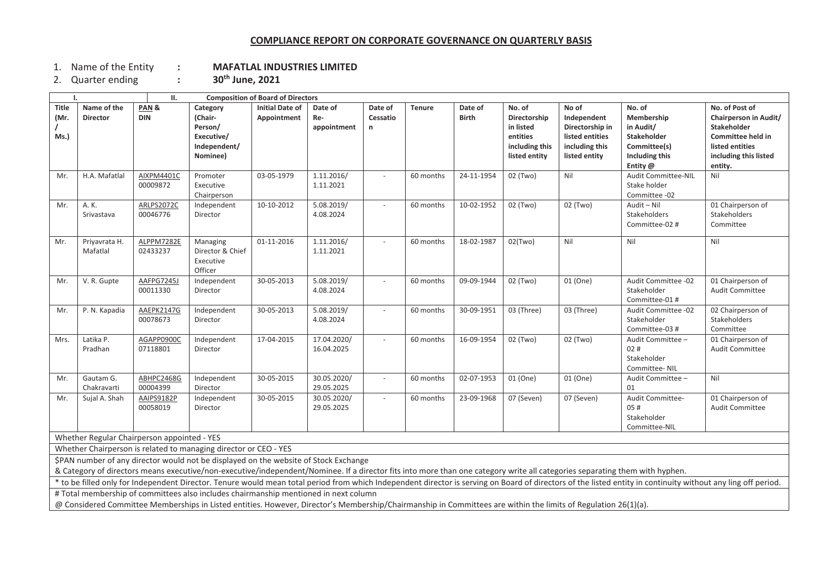## **COMPLIANCE REPORT ON CORPORATE GOVERNANCE ON QUARTERLY BASIS**

1. Nameof the Entity **: MAFATLAL INDUSTRIES LIMITED**

2. Quarter ending **: <sup>30</sup>th June, <sup>2021</sup>**

 $\blacksquare$ 

| <b>Composition of Board of Directors</b><br>П.                                                                                                                                                                                                                                                                                                                                               |                                |                        |                                                                          |                                       |                               |                          |               |                         |                                                                                    |                                                                                               |                                                                                                |                                                                                                                                    |
|----------------------------------------------------------------------------------------------------------------------------------------------------------------------------------------------------------------------------------------------------------------------------------------------------------------------------------------------------------------------------------------------|--------------------------------|------------------------|--------------------------------------------------------------------------|---------------------------------------|-------------------------------|--------------------------|---------------|-------------------------|------------------------------------------------------------------------------------|-----------------------------------------------------------------------------------------------|------------------------------------------------------------------------------------------------|------------------------------------------------------------------------------------------------------------------------------------|
| <b>Title</b><br>(Mr.<br>Ms.)                                                                                                                                                                                                                                                                                                                                                                 | Name of the<br><b>Director</b> | PAN&<br><b>DIN</b>     | Category<br>(Chair-<br>Person/<br>Executive/<br>Independent/<br>Nominee) | <b>Initial Date of</b><br>Appointment | Date of<br>Re-<br>appointment | Date of<br>Cessatio<br>n | <b>Tenure</b> | Date of<br><b>Birth</b> | No. of<br>Directorship<br>in listed<br>entities<br>including this<br>listed entity | No of<br>Independent<br>Directorship in<br>listed entities<br>including this<br>listed entity | No. of<br>Membership<br>in Audit/<br>Stakeholder<br>Committee(s)<br>Including this<br>Entity @ | No. of Post of<br>Chairperson in Audit/<br>Stakeholder<br>Committee held in<br>listed entities<br>including this listed<br>entity. |
| Mr.                                                                                                                                                                                                                                                                                                                                                                                          | H.A. Mafatlal                  | AIXPM4401C<br>00009872 | Promoter<br>Executive<br>Chairperson                                     | 03-05-1979                            | 1.11.2016/<br>1.11.2021       |                          | 60 months     | 24-11-1954              | 02 (Two)                                                                           | Nil                                                                                           | Audit Committee-NIL<br>Stake holder<br>Committee -02                                           | Nil                                                                                                                                |
| Mr.                                                                                                                                                                                                                                                                                                                                                                                          | A. K.<br>Srivastava            | ARLPS2072C<br>00046776 | Independent<br>Director                                                  | 10-10-2012                            | 5.08.2019/<br>4.08.2024       |                          | 60 months     | 10-02-1952              | 02 (Two)                                                                           | 02 (Two)                                                                                      | Audit - Nil<br>Stakeholders<br>Committee-02 #                                                  | 01 Chairperson of<br>Stakeholders<br>Committee                                                                                     |
| Mr.                                                                                                                                                                                                                                                                                                                                                                                          | Priyavrata H.<br>Mafatlal      | ALPPM7282E<br>02433237 | Managing<br>Director & Chief<br>Executive<br>Officer                     | 01-11-2016                            | 1.11.2016/<br>1.11.2021       |                          | 60 months     | 18-02-1987              | 02(Two)                                                                            | Nil                                                                                           | Nil                                                                                            | Nil                                                                                                                                |
| Mr.                                                                                                                                                                                                                                                                                                                                                                                          | V. R. Gupte                    | AAFPG7245J<br>00011330 | Independent<br>Director                                                  | 30-05-2013                            | 5.08.2019/<br>4.08.2024       |                          | 60 months     | 09-09-1944              | 02 (Two)                                                                           | 01 (One)                                                                                      | Audit Committee -02<br>Stakeholder<br>Committee-01 #                                           | 01 Chairperson of<br>Audit Committee                                                                                               |
| Mr.                                                                                                                                                                                                                                                                                                                                                                                          | P. N. Kapadia                  | AAEPK2147G<br>00078673 | Independent<br>Director                                                  | 30-05-2013                            | 5.08.2019/<br>4.08.2024       | $\sim$                   | 60 months     | 30-09-1951              | 03 (Three)                                                                         | 03 (Three)                                                                                    | Audit Committee -02<br>Stakeholder<br>Committee-03 #                                           | 02 Chairperson of<br>Stakeholders<br>Committee                                                                                     |
| Mrs.                                                                                                                                                                                                                                                                                                                                                                                         | Latika P.<br>Pradhan           | AGAPP0900C<br>07118801 | Independent<br>Director                                                  | 17-04-2015                            | 17.04.2020/<br>16.04.2025     |                          | 60 months     | 16-09-1954              | 02 (Two)                                                                           | 02 (Two)                                                                                      | Audit Committee -<br>02#<br>Stakeholder<br>Committee-NIL                                       | 01 Chairperson of<br>Audit Committee                                                                                               |
| Mr.                                                                                                                                                                                                                                                                                                                                                                                          | Gautam G.<br>Chakravarti       | ABHPC2468G<br>00004399 | Independent<br>Director                                                  | 30-05-2015                            | 30.05.2020/<br>29.05.2025     |                          | 60 months     | 02-07-1953              | 01 (One)                                                                           | 01 (One)                                                                                      | Audit Committee -<br>01                                                                        | Nil                                                                                                                                |
| Mr.                                                                                                                                                                                                                                                                                                                                                                                          | Sujal A. Shah                  | AAIPS9182P<br>00058019 | Independent<br>Director                                                  | 30-05-2015                            | 30.05.2020/<br>29.05.2025     | $\overline{\phantom{a}}$ | 60 months     | 23-09-1968              | 07 (Seven)                                                                         | 07 (Seven)                                                                                    | Audit Committee-<br>05#<br>Stakeholder<br>Committee-NIL                                        | 01 Chairperson of<br>Audit Committee                                                                                               |
| Whether Regular Chairperson appointed - YES                                                                                                                                                                                                                                                                                                                                                  |                                |                        |                                                                          |                                       |                               |                          |               |                         |                                                                                    |                                                                                               |                                                                                                |                                                                                                                                    |
| Whether Chairperson is related to managing director or CEO - YES                                                                                                                                                                                                                                                                                                                             |                                |                        |                                                                          |                                       |                               |                          |               |                         |                                                                                    |                                                                                               |                                                                                                |                                                                                                                                    |
| \$PAN number of any director would not be displayed on the website of Stock Exchange                                                                                                                                                                                                                                                                                                         |                                |                        |                                                                          |                                       |                               |                          |               |                         |                                                                                    |                                                                                               |                                                                                                |                                                                                                                                    |
| & Category of directors means executive/non-executive/independent/Nominee. If a director fits into more than one category write all categories separating them with hyphen.<br>* to be filled only for Independent Director. Tenure would mean total period from which Independent director is serving on Board of directors of the listed entity in continuity without any ling off period. |                                |                        |                                                                          |                                       |                               |                          |               |                         |                                                                                    |                                                                                               |                                                                                                |                                                                                                                                    |
| # Total membership of committees also includes chairmanship mentioned in next column                                                                                                                                                                                                                                                                                                         |                                |                        |                                                                          |                                       |                               |                          |               |                         |                                                                                    |                                                                                               |                                                                                                |                                                                                                                                    |
| @ Considered Committee Memberships in Listed entities. However, Director's Membership/Chairmanship in Committees are within the limits of Regulation 26(1)(a).                                                                                                                                                                                                                               |                                |                        |                                                                          |                                       |                               |                          |               |                         |                                                                                    |                                                                                               |                                                                                                |                                                                                                                                    |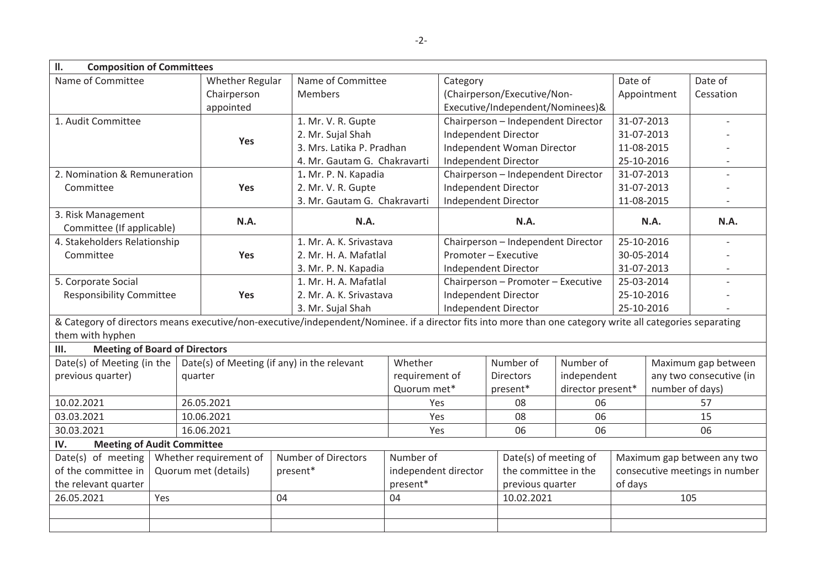| II.<br><b>Composition of Committees</b>                                                                                                                                       |                      |                        |                              |                            |                                                                                                                                                                                   |                                    |                                    |                                |                          |                             |                          |
|-------------------------------------------------------------------------------------------------------------------------------------------------------------------------------|----------------------|------------------------|------------------------------|----------------------------|-----------------------------------------------------------------------------------------------------------------------------------------------------------------------------------|------------------------------------|------------------------------------|--------------------------------|--------------------------|-----------------------------|--------------------------|
| Name of Committee                                                                                                                                                             |                      | <b>Whether Regular</b> | Name of Committee            |                            | Category                                                                                                                                                                          |                                    | Date of                            |                                | Date of                  |                             |                          |
|                                                                                                                                                                               | Chairperson          |                        | <b>Members</b>               |                            |                                                                                                                                                                                   | (Chairperson/Executive/Non-        |                                    |                                | Appointment              | Cessation                   |                          |
|                                                                                                                                                                               |                      | appointed              |                              |                            |                                                                                                                                                                                   |                                    | Executive/Independent/Nominees)&   |                                |                          |                             |                          |
| 1. Audit Committee                                                                                                                                                            |                      |                        |                              |                            | 1. Mr. V. R. Gupte                                                                                                                                                                |                                    | Chairperson - Independent Director |                                |                          | 31-07-2013                  |                          |
|                                                                                                                                                                               |                      | Yes                    | 2. Mr. Sujal Shah            |                            | Independent Director                                                                                                                                                              |                                    |                                    | 31-07-2013                     |                          |                             |                          |
|                                                                                                                                                                               |                      |                        |                              | 3. Mrs. Latika P. Pradhan  |                                                                                                                                                                                   | Independent Woman Director         |                                    | 11-08-2015                     |                          |                             |                          |
|                                                                                                                                                                               |                      |                        |                              |                            | 4. Mr. Gautam G. Chakravarti                                                                                                                                                      |                                    | Independent Director               |                                |                          | 25-10-2016                  |                          |
| 2. Nomination & Remuneration                                                                                                                                                  |                      |                        |                              | 1. Mr. P. N. Kapadia       |                                                                                                                                                                                   | Chairperson - Independent Director |                                    |                                | 31-07-2013<br>31-07-2013 |                             | $\overline{\phantom{a}}$ |
| Committee                                                                                                                                                                     |                      | Yes                    |                              | 2. Mr. V. R. Gupte         |                                                                                                                                                                                   |                                    | <b>Independent Director</b>        |                                |                          |                             |                          |
|                                                                                                                                                                               |                      |                        | 3. Mr. Gautam G. Chakravarti |                            | Independent Director                                                                                                                                                              |                                    |                                    | 11-08-2015                     |                          |                             |                          |
| 3. Risk Management                                                                                                                                                            |                      | N.A.                   | N.A.                         |                            | N.A.                                                                                                                                                                              |                                    | N.A.                               |                                | N.A.                     |                             |                          |
| Committee (If applicable)                                                                                                                                                     |                      |                        |                              |                            |                                                                                                                                                                                   |                                    |                                    |                                |                          |                             |                          |
| 4. Stakeholders Relationship                                                                                                                                                  |                      |                        |                              | 1. Mr. A. K. Srivastava    |                                                                                                                                                                                   | Chairperson - Independent Director |                                    |                                | 25-10-2016               |                             |                          |
| Committee                                                                                                                                                                     |                      |                        | <b>Yes</b>                   | 2. Mr. H. A. Mafatlal      |                                                                                                                                                                                   | Promoter - Executive               |                                    | 30-05-2014<br>31-07-2013       |                          |                             |                          |
|                                                                                                                                                                               |                      |                        |                              | 3. Mr. P. N. Kapadia       |                                                                                                                                                                                   | Independent Director               |                                    |                                |                          |                             |                          |
| 5. Corporate Social                                                                                                                                                           |                      |                        |                              | 1. Mr. H. A. Mafatlal      |                                                                                                                                                                                   | Chairperson - Promoter - Executive |                                    |                                | 25-03-2014               |                             |                          |
| <b>Responsibility Committee</b>                                                                                                                                               |                      | <b>Yes</b>             | 2. Mr. A. K. Srivastava      |                            | Independent Director                                                                                                                                                              |                                    |                                    | 25-10-2016                     |                          |                             |                          |
|                                                                                                                                                                               |                      |                        | 3. Mr. Sujal Shah            |                            | Independent Director<br>& Category of directors means executive/non-executive/independent/Nominee. if a director fits into more than one category write all categories separating |                                    |                                    | 25-10-2016                     |                          |                             |                          |
| them with hyphen                                                                                                                                                              |                      |                        |                              |                            |                                                                                                                                                                                   |                                    |                                    |                                |                          |                             |                          |
| III.                                                                                                                                                                          |                      |                        |                              |                            |                                                                                                                                                                                   |                                    |                                    |                                |                          |                             |                          |
| <b>Meeting of Board of Directors</b><br>Date(s) of Meeting (if any) in the relevant<br>Whether<br>Number of<br>Number of<br>Date(s) of Meeting (in the<br>Maximum gap between |                      |                        |                              |                            |                                                                                                                                                                                   |                                    |                                    |                                |                          |                             |                          |
| previous quarter)                                                                                                                                                             |                      | quarter                |                              |                            | requirement of                                                                                                                                                                    |                                    | <b>Directors</b>                   | independent                    |                          | any two consecutive (in     |                          |
|                                                                                                                                                                               |                      |                        |                              | Quorum met*                |                                                                                                                                                                                   |                                    | present*                           | director present*              |                          | number of days)             |                          |
| 10.02.2021                                                                                                                                                                    | 26.05.2021           |                        |                              |                            | Yes                                                                                                                                                                               |                                    | 06                                 |                                | 57                       |                             |                          |
| 03.03.2021                                                                                                                                                                    | 10.06.2021           |                        |                              |                            | Yes                                                                                                                                                                               |                                    | 06                                 |                                | 15                       |                             |                          |
| 30.03.2021                                                                                                                                                                    |                      | 16.06.2021             |                              |                            |                                                                                                                                                                                   | 06<br>Yes                          |                                    | 06                             |                          | 06                          |                          |
| IV.<br><b>Meeting of Audit Committee</b>                                                                                                                                      |                      |                        |                              |                            |                                                                                                                                                                                   |                                    |                                    |                                |                          |                             |                          |
| Date(s) of meeting                                                                                                                                                            |                      | Whether requirement of |                              | <b>Number of Directors</b> | Number of                                                                                                                                                                         |                                    |                                    | Date(s) of meeting of          |                          | Maximum gap between any two |                          |
| of the committee in                                                                                                                                                           | Quorum met (details) |                        | present*                     | independent director       |                                                                                                                                                                                   | the committee in the               |                                    | consecutive meetings in number |                          |                             |                          |
| the relevant quarter                                                                                                                                                          |                      |                        |                              | present*                   |                                                                                                                                                                                   |                                    | previous quarter                   |                                | of days                  |                             |                          |
| 26.05.2021                                                                                                                                                                    | Yes                  |                        |                              | 04                         | 04                                                                                                                                                                                |                                    |                                    | 10.02.2021                     |                          | 105                         |                          |
|                                                                                                                                                                               |                      |                        |                              |                            |                                                                                                                                                                                   |                                    |                                    |                                |                          |                             |                          |
|                                                                                                                                                                               |                      |                        |                              |                            |                                                                                                                                                                                   |                                    |                                    |                                |                          |                             |                          |